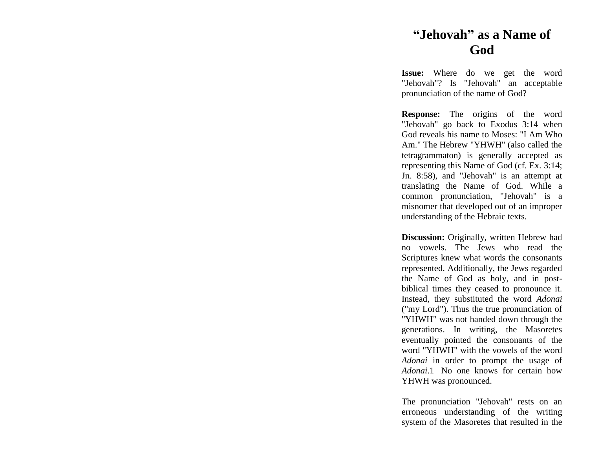## **"Jehovah " as a Name of God**

**Issue:** Where do we get the word "Jehovah"? Is "Jehovah" an acceptable pronunciation of the name of God?

**Response:** The origins of the word "Jehovah" go back to Exodus 3:14 when God reveals his name to Moses: "I Am Who Am." The Hebrew "YHWH" (also called the tetragrammaton) is generally accepted as representing this Name of God (cf. Ex. 3:14; Jn. 8:58), and "Jehovah" is an attempt at translating the Name of God. While a common pronunciation, "Jehovah" is a misnomer that developed out of an improper understanding of the Hebraic texts.

**Discussion:** Originally, written Hebrew had no vowels. The Jews who read the Scriptures knew what words the consonants represented. Additionally, the Jews regarded the Name of God as holy, and in post biblical times they ceased to pronounce it. Instead, they substituted the word *Adonai* ("my Lord"). Thus the true pronunciation of "YHWH" was not handed down through the generations. In writing, the Masoretes eventually pointed the consonants of the word "YHWH" with the vowels of the word *Adonai* in order to prompt the usage of *Adonai*.1 No one knows for certain how YHWH was pronounced.

The pronunciation "Jehovah" rests on an erroneous understanding of the writing system of the Masoretes that resulted in the